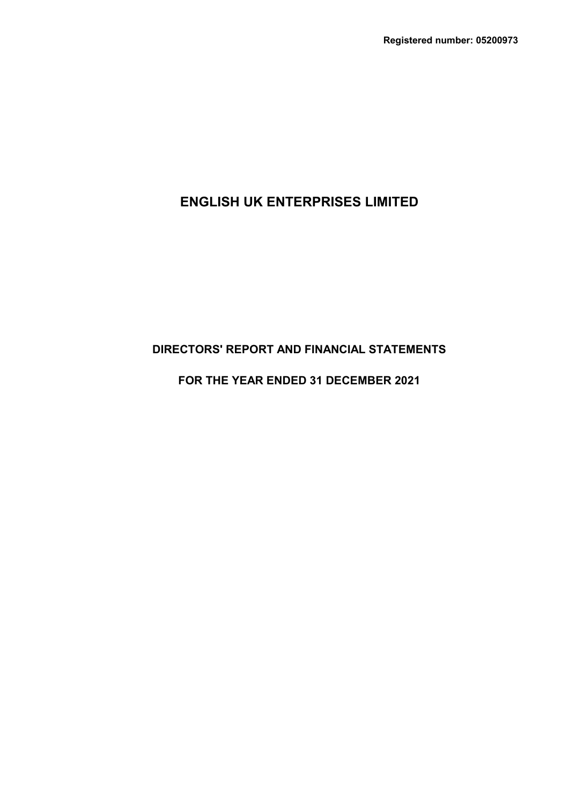# **DIRECTORS' REPORT AND FINANCIAL STATEMENTS**

# **FOR THE YEAR ENDED 31 DECEMBER 2021**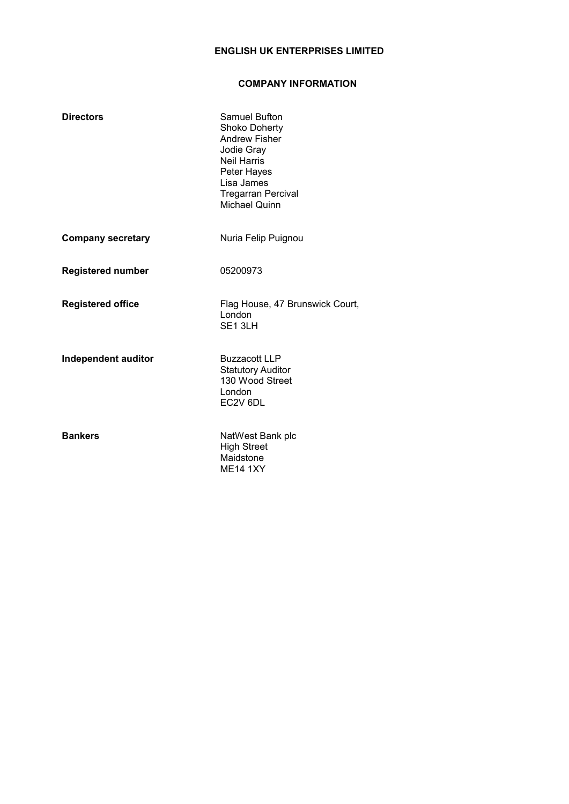## **COMPANY INFORMATION**

| <b>Directors</b>         | Samuel Bufton<br>Shoko Doherty<br><b>Andrew Fisher</b><br>Jodie Gray<br><b>Neil Harris</b><br>Peter Hayes<br>Lisa James<br><b>Tregarran Percival</b><br><b>Michael Quinn</b> |
|--------------------------|------------------------------------------------------------------------------------------------------------------------------------------------------------------------------|
| <b>Company secretary</b> | Nuria Felip Puignou                                                                                                                                                          |
| <b>Registered number</b> | 05200973                                                                                                                                                                     |
| <b>Registered office</b> | Flag House, 47 Brunswick Court,<br>London<br>SE13LH                                                                                                                          |
| Independent auditor      | <b>Buzzacott LLP</b><br><b>Statutory Auditor</b><br>130 Wood Street<br>London<br>EC2V 6DL                                                                                    |
| <b>Bankers</b>           | NatWest Bank plc<br><b>High Street</b><br>Maidstone<br><b>ME14 1XY</b>                                                                                                       |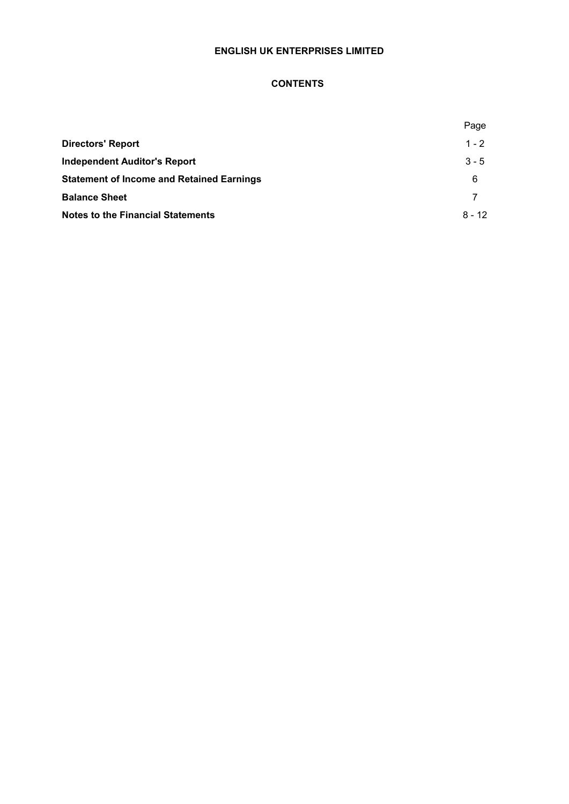# **CONTENTS**

|                                                  | Page     |
|--------------------------------------------------|----------|
| <b>Directors' Report</b>                         | $1 - 2$  |
| <b>Independent Auditor's Report</b>              | $3 - 5$  |
| <b>Statement of Income and Retained Earnings</b> | 6        |
| <b>Balance Sheet</b>                             |          |
| <b>Notes to the Financial Statements</b>         | $8 - 12$ |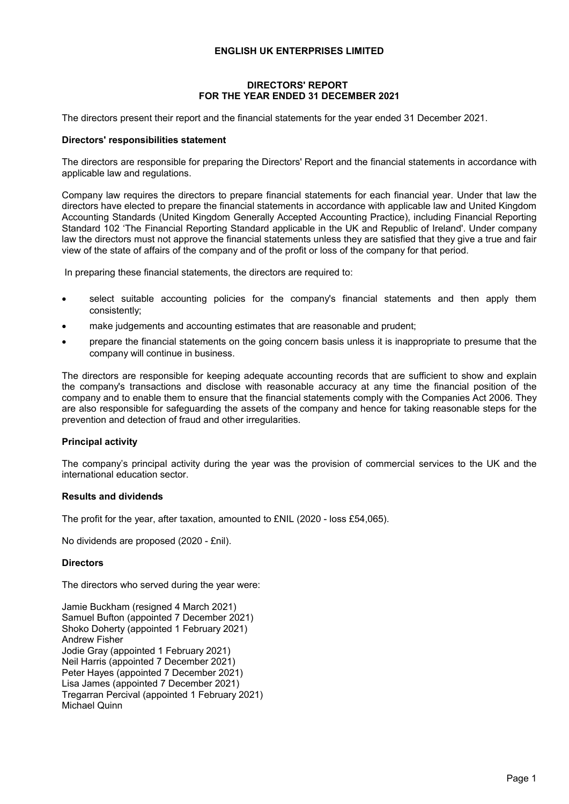#### **DIRECTORS' REPORT FOR THE YEAR ENDED 31 DECEMBER 2021**

The directors present their report and the financial statements for the year ended 31 December 2021.

#### **Directors' responsibilities statement**

The directors are responsible for preparing the Directors' Report and the financial statements in accordance with applicable law and regulations.

Company law requires the directors to prepare financial statements for each financial year. Under that law the directors have elected to prepare the financial statements in accordance with applicable law and United Kingdom Accounting Standards (United Kingdom Generally Accepted Accounting Practice), including Financial Reporting Standard 102 'The Financial Reporting Standard applicable in the UK and Republic of Ireland'. Under company law the directors must not approve the financial statements unless they are satisfied that they give a true and fair view of the state of affairs of the company and of the profit or loss of the company for that period.

In preparing these financial statements, the directors are required to:

- select suitable accounting policies for the company's financial statements and then apply them consistently;
- make judgements and accounting estimates that are reasonable and prudent;
- prepare the financial statements on the going concern basis unless it is inappropriate to presume that the company will continue in business.

The directors are responsible for keeping adequate accounting records that are sufficient to show and explain the company's transactions and disclose with reasonable accuracy at any time the financial position of the company and to enable them to ensure that the financial statements comply with the Companies Act 2006. They are also responsible for safeguarding the assets of the company and hence for taking reasonable steps for the prevention and detection of fraud and other irregularities.

#### **Principal activity**

The company's principal activity during the year was the provision of commercial services to the UK and the international education sector.

#### **Results and dividends**

The profit for the year, after taxation, amounted to £NIL (2020 - loss £54,065).

No dividends are proposed (2020 - £nil).

#### **Directors**

The directors who served during the year were:

Jamie Buckham (resigned 4 March 2021) Samuel Bufton (appointed 7 December 2021) Shoko Doherty (appointed 1 February 2021) Andrew Fisher Jodie Gray (appointed 1 February 2021) Neil Harris (appointed 7 December 2021) Peter Hayes (appointed 7 December 2021) Lisa James (appointed 7 December 2021) Tregarran Percival (appointed 1 February 2021) Michael Quinn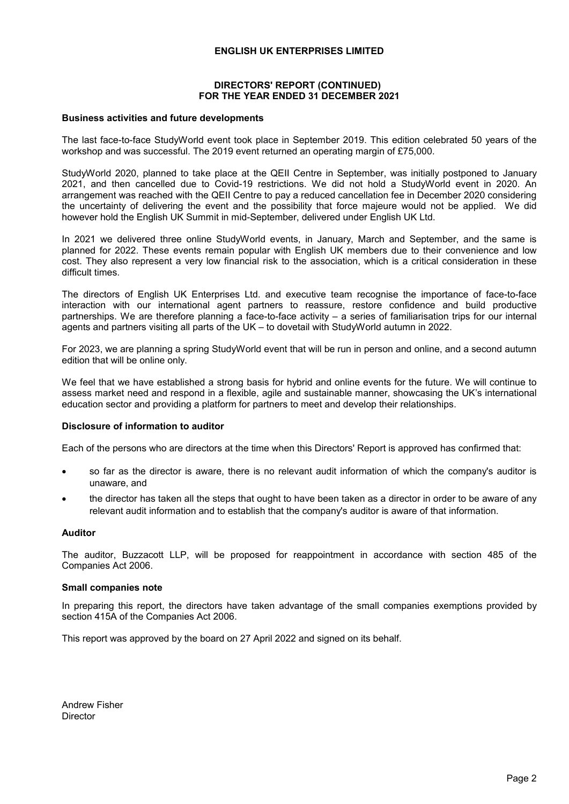#### **DIRECTORS' REPORT (CONTINUED) FOR THE YEAR ENDED 31 DECEMBER 2021**

#### **Business activities and future developments**

The last face-to-face StudyWorld event took place in September 2019. This edition celebrated 50 years of the workshop and was successful. The 2019 event returned an operating margin of £75,000.

StudyWorld 2020, planned to take place at the QEII Centre in September, was initially postponed to January 2021, and then cancelled due to Covid-19 restrictions. We did not hold a StudyWorld event in 2020. An arrangement was reached with the QEII Centre to pay a reduced cancellation fee in December 2020 considering the uncertainty of delivering the event and the possibility that force majeure would not be applied. We did however hold the English UK Summit in mid-September, delivered under English UK Ltd.

In 2021 we delivered three online StudyWorld events, in January, March and September, and the same is planned for 2022. These events remain popular with English UK members due to their convenience and low cost. They also represent a very low financial risk to the association, which is a critical consideration in these difficult times.

The directors of English UK Enterprises Ltd. and executive team recognise the importance of face-to-face interaction with our international agent partners to reassure, restore confidence and build productive partnerships. We are therefore planning a face-to-face activity – a series of familiarisation trips for our internal agents and partners visiting all parts of the UK – to dovetail with StudyWorld autumn in 2022.

For 2023, we are planning a spring StudyWorld event that will be run in person and online, and a second autumn edition that will be online only.

We feel that we have established a strong basis for hybrid and online events for the future. We will continue to assess market need and respond in a flexible, agile and sustainable manner, showcasing the UK's international education sector and providing a platform for partners to meet and develop their relationships.

#### **Disclosure of information to auditor**

Each of the persons who are directors at the time when this Directors' Report is approved has confirmed that:

- so far as the director is aware, there is no relevant audit information of which the company's auditor is unaware, and
- the director has taken all the steps that ought to have been taken as a director in order to be aware of any relevant audit information and to establish that the company's auditor is aware of that information.

#### **Auditor**

The auditor, Buzzacott LLP, will be proposed for reappointment in accordance with section 485 of the Companies Act 2006.

#### **Small companies note**

In preparing this report, the directors have taken advantage of the small companies exemptions provided by section 415A of the Companies Act 2006.

This report was approved by the board on 27 April 2022 and signed on its behalf.

Andrew Fisher **Director**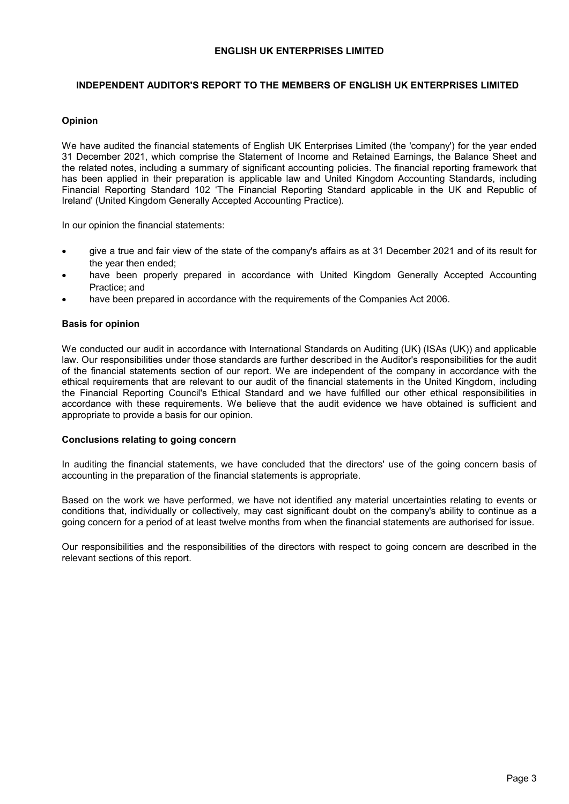# **INDEPENDENT AUDITOR'S REPORT TO THE MEMBERS OF ENGLISH UK ENTERPRISES LIMITED**

### **Opinion**

We have audited the financial statements of English UK Enterprises Limited (the 'company') for the year ended 31 December 2021, which comprise the Statement of Income and Retained Earnings, the Balance Sheet and the related notes, including a summary of significant accounting policies. The financial reporting framework that has been applied in their preparation is applicable law and United Kingdom Accounting Standards, including Financial Reporting Standard 102 'The Financial Reporting Standard applicable in the UK and Republic of Ireland' (United Kingdom Generally Accepted Accounting Practice).

In our opinion the financial statements:

- give a true and fair view of the state of the company's affairs as at 31 December 2021 and of its result for the year then ended;
- have been properly prepared in accordance with United Kingdom Generally Accepted Accounting Practice; and
- have been prepared in accordance with the requirements of the Companies Act 2006.

#### **Basis for opinion**

We conducted our audit in accordance with International Standards on Auditing (UK) (ISAs (UK)) and applicable law. Our responsibilities under those standards are further described in the Auditor's responsibilities for the audit of the financial statements section of our report. We are independent of the company in accordance with the ethical requirements that are relevant to our audit of the financial statements in the United Kingdom, including the Financial Reporting Council's Ethical Standard and we have fulfilled our other ethical responsibilities in accordance with these requirements. We believe that the audit evidence we have obtained is sufficient and appropriate to provide a basis for our opinion.

#### **Conclusions relating to going concern**

In auditing the financial statements, we have concluded that the directors' use of the going concern basis of accounting in the preparation of the financial statements is appropriate.

Based on the work we have performed, we have not identified any material uncertainties relating to events or conditions that, individually or collectively, may cast significant doubt on the company's ability to continue as a going concern for a period of at least twelve months from when the financial statements are authorised for issue.

Our responsibilities and the responsibilities of the directors with respect to going concern are described in the relevant sections of this report.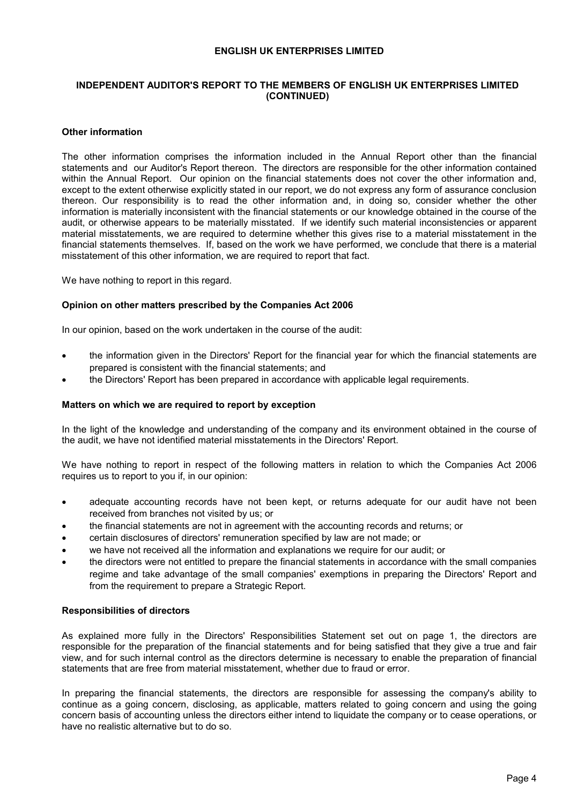# **INDEPENDENT AUDITOR'S REPORT TO THE MEMBERS OF ENGLISH UK ENTERPRISES LIMITED (CONTINUED)**

#### **Other information**

The other information comprises the information included in the Annual Report other than the financial statements and our Auditor's Report thereon. The directors are responsible for the other information contained within the Annual Report. Our opinion on the financial statements does not cover the other information and, except to the extent otherwise explicitly stated in our report, we do not express any form of assurance conclusion thereon. Our responsibility is to read the other information and, in doing so, consider whether the other information is materially inconsistent with the financial statements or our knowledge obtained in the course of the audit, or otherwise appears to be materially misstated. If we identify such material inconsistencies or apparent material misstatements, we are required to determine whether this gives rise to a material misstatement in the financial statements themselves. If, based on the work we have performed, we conclude that there is a material misstatement of this other information, we are required to report that fact.

We have nothing to report in this regard.

#### **Opinion on other matters prescribed by the Companies Act 2006**

In our opinion, based on the work undertaken in the course of the audit:

- the information given in the Directors' Report for the financial year for which the financial statements are prepared is consistent with the financial statements; and
- the Directors' Report has been prepared in accordance with applicable legal requirements.

#### **Matters on which we are required to report by exception**

In the light of the knowledge and understanding of the company and its environment obtained in the course of the audit, we have not identified material misstatements in the Directors' Report.

We have nothing to report in respect of the following matters in relation to which the Companies Act 2006 requires us to report to you if, in our opinion:

- adequate accounting records have not been kept, or returns adequate for our audit have not been received from branches not visited by us; or
- the financial statements are not in agreement with the accounting records and returns; or
- certain disclosures of directors' remuneration specified by law are not made; or
- we have not received all the information and explanations we require for our audit; or
- the directors were not entitled to prepare the financial statements in accordance with the small companies regime and take advantage of the small companies' exemptions in preparing the Directors' Report and from the requirement to prepare a Strategic Report.

#### **Responsibilities of directors**

As explained more fully in the Directors' Responsibilities Statement set out on page 1, the directors are responsible for the preparation of the financial statements and for being satisfied that they give a true and fair view, and for such internal control as the directors determine is necessary to enable the preparation of financial statements that are free from material misstatement, whether due to fraud or error.

In preparing the financial statements, the directors are responsible for assessing the company's ability to continue as a going concern, disclosing, as applicable, matters related to going concern and using the going concern basis of accounting unless the directors either intend to liquidate the company or to cease operations, or have no realistic alternative but to do so.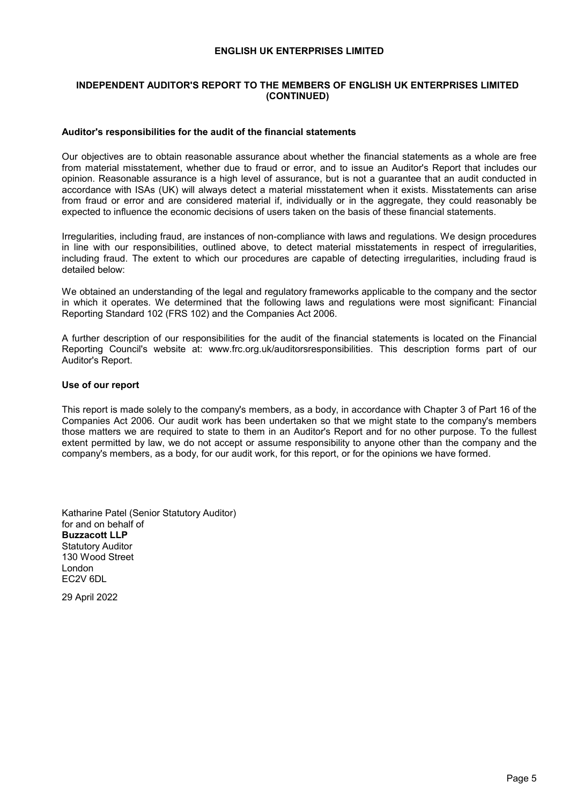# **INDEPENDENT AUDITOR'S REPORT TO THE MEMBERS OF ENGLISH UK ENTERPRISES LIMITED (CONTINUED)**

#### **Auditor's responsibilities for the audit of the financial statements**

Our objectives are to obtain reasonable assurance about whether the financial statements as a whole are free from material misstatement, whether due to fraud or error, and to issue an Auditor's Report that includes our opinion. Reasonable assurance is a high level of assurance, but is not a guarantee that an audit conducted in accordance with ISAs (UK) will always detect a material misstatement when it exists. Misstatements can arise from fraud or error and are considered material if, individually or in the aggregate, they could reasonably be expected to influence the economic decisions of users taken on the basis of these financial statements.

Irregularities, including fraud, are instances of non-compliance with laws and regulations. We design procedures in line with our responsibilities, outlined above, to detect material misstatements in respect of irregularities, including fraud. The extent to which our procedures are capable of detecting irregularities, including fraud is detailed below:

We obtained an understanding of the legal and regulatory frameworks applicable to the company and the sector in which it operates. We determined that the following laws and regulations were most significant: Financial Reporting Standard 102 (FRS 102) and the Companies Act 2006.

A further description of our responsibilities for the audit of the financial statements is located on the Financial Reporting Council's website at: www.frc.org.uk/auditorsresponsibilities. This description forms part of our Auditor's Report.

#### **Use of our report**

This report is made solely to the company's members, as a body, in accordance with Chapter 3 of Part 16 of the Companies Act 2006. Our audit work has been undertaken so that we might state to the company's members those matters we are required to state to them in an Auditor's Report and for no other purpose. To the fullest extent permitted by law, we do not accept or assume responsibility to anyone other than the company and the company's members, as a body, for our audit work, for this report, or for the opinions we have formed.

Katharine Patel (Senior Statutory Auditor) for and on behalf of **Buzzacott LLP** Statutory Auditor 130 Wood Street London EC2V 6DL

29 April 2022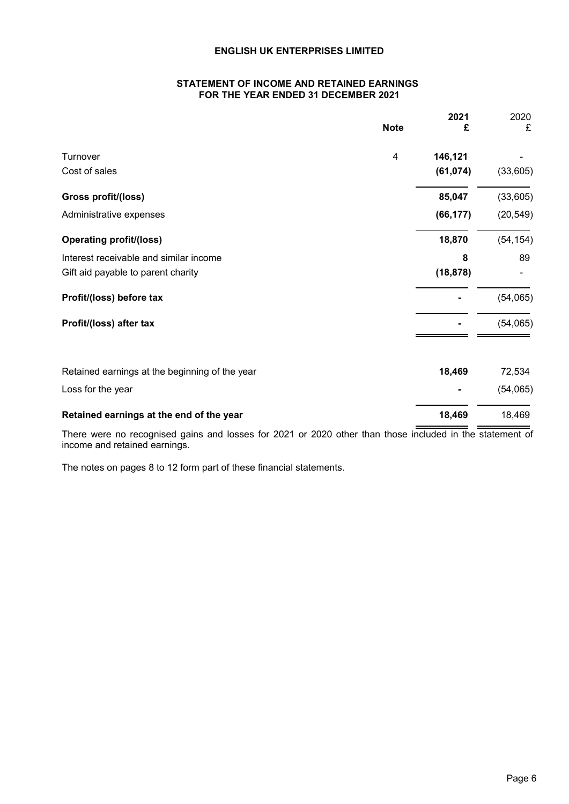#### **STATEMENT OF INCOME AND RETAINED EARNINGS FOR THE YEAR ENDED 31 DECEMBER 2021**

|                                                | <b>Note</b> | 2021<br>£ | 2020<br>£ |
|------------------------------------------------|-------------|-----------|-----------|
| Turnover                                       | 4           | 146,121   |           |
| Cost of sales                                  |             | (61, 074) | (33,605)  |
| Gross profit/(loss)                            |             | 85,047    | (33,605)  |
| Administrative expenses                        |             | (66, 177) | (20, 549) |
| <b>Operating profit/(loss)</b>                 |             | 18,870    | (54, 154) |
| Interest receivable and similar income         |             | 8         | 89        |
| Gift aid payable to parent charity             |             | (18, 878) |           |
| Profit/(loss) before tax                       |             |           | (54,065)  |
| Profit/(loss) after tax                        |             |           | (54,065)  |
| Retained earnings at the beginning of the year |             | 18,469    | 72,534    |
| Loss for the year                              |             |           | (54,065)  |
| Retained earnings at the end of the year       |             | 18,469    | 18,469    |

There were no recognised gains and losses for 2021 or 2020 other than those included in the statement of income and retained earnings.

The notes on pages 8 to 12 form part of these financial statements.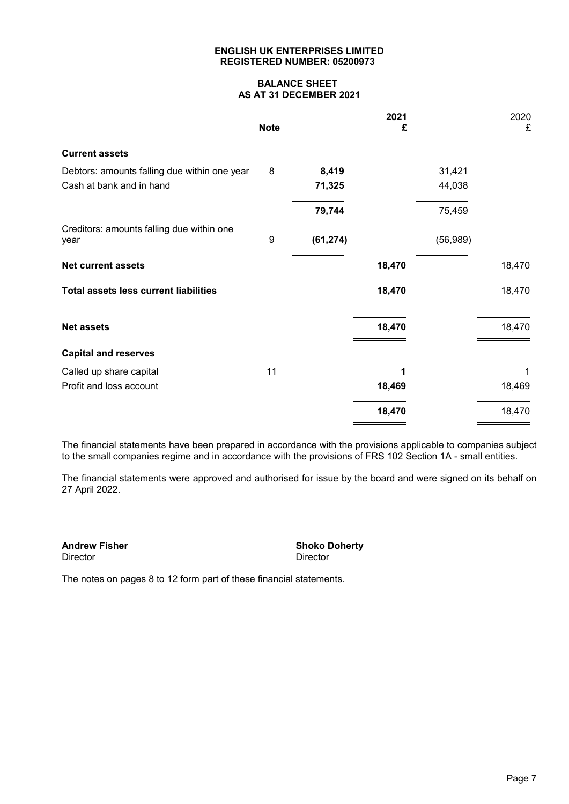#### **ENGLISH UK ENTERPRISES LIMITED REGISTERED NUMBER: 05200973**

#### **BALANCE SHEET AS AT 31 DECEMBER 2021**

|                                                   | <b>Note</b> |           | 2021<br>£ |           | 2020<br>£ |
|---------------------------------------------------|-------------|-----------|-----------|-----------|-----------|
| <b>Current assets</b>                             |             |           |           |           |           |
| Debtors: amounts falling due within one year      | 8           | 8,419     |           | 31,421    |           |
| Cash at bank and in hand                          |             | 71,325    |           | 44,038    |           |
|                                                   |             | 79,744    |           | 75,459    |           |
| Creditors: amounts falling due within one<br>year | 9           | (61, 274) |           | (56, 989) |           |
| <b>Net current assets</b>                         |             |           | 18,470    |           | 18,470    |
| <b>Total assets less current liabilities</b>      |             |           | 18,470    |           | 18,470    |
| <b>Net assets</b>                                 |             |           | 18,470    |           | 18,470    |
| <b>Capital and reserves</b>                       |             |           |           |           |           |
| Called up share capital                           | 11          |           | 1         |           |           |
| Profit and loss account                           |             |           | 18,469    |           | 18,469    |
|                                                   |             |           | 18,470    |           | 18,470    |

The financial statements have been prepared in accordance with the provisions applicable to companies subject to the small companies regime and in accordance with the provisions of FRS 102 Section 1A - small entities.

The financial statements were approved and authorised for issue by the board and were signed on its behalf on 27 April 2022.

**Andrew Fisher Shoko Doherty** Director **Director** Director

The notes on pages 8 to 12 form part of these financial statements.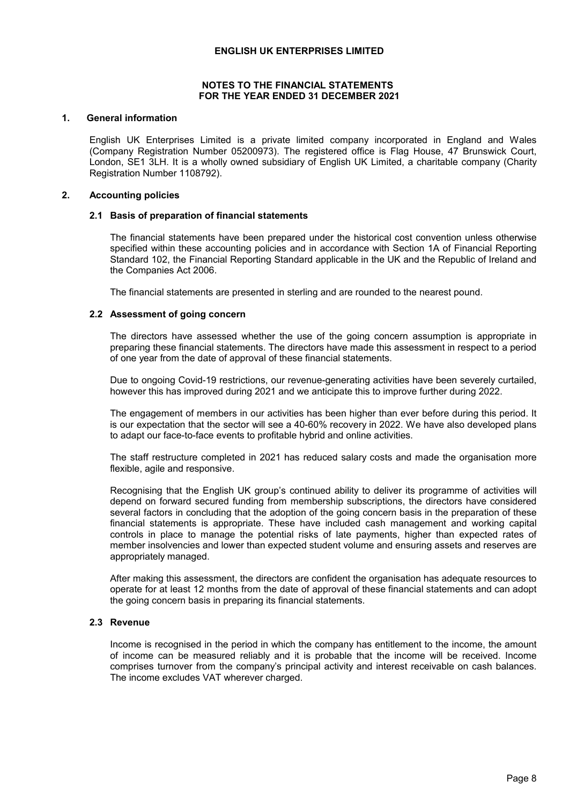#### **NOTES TO THE FINANCIAL STATEMENTS FOR THE YEAR ENDED 31 DECEMBER 2021**

#### **1. General information**

English UK Enterprises Limited is a private limited company incorporated in England and Wales (Company Registration Number 05200973). The registered office is Flag House, 47 Brunswick Court, London, SE1 3LH. It is a wholly owned subsidiary of English UK Limited, a charitable company (Charity Registration Number 1108792).

#### **2. Accounting policies**

#### **2.1 Basis of preparation of financial statements**

The financial statements have been prepared under the historical cost convention unless otherwise specified within these accounting policies and in accordance with Section 1A of Financial Reporting Standard 102, the Financial Reporting Standard applicable in the UK and the Republic of Ireland and the Companies Act 2006.

The financial statements are presented in sterling and are rounded to the nearest pound.

#### **2.2 Assessment of going concern**

The directors have assessed whether the use of the going concern assumption is appropriate in preparing these financial statements. The directors have made this assessment in respect to a period of one year from the date of approval of these financial statements.

Due to ongoing Covid-19 restrictions, our revenue-generating activities have been severely curtailed, however this has improved during 2021 and we anticipate this to improve further during 2022.

The engagement of members in our activities has been higher than ever before during this period. It is our expectation that the sector will see a 40-60% recovery in 2022. We have also developed plans to adapt our face-to-face events to profitable hybrid and online activities.

The staff restructure completed in 2021 has reduced salary costs and made the organisation more flexible, agile and responsive.

Recognising that the English UK group's continued ability to deliver its programme of activities will depend on forward secured funding from membership subscriptions, the directors have considered several factors in concluding that the adoption of the going concern basis in the preparation of these financial statements is appropriate. These have included cash management and working capital controls in place to manage the potential risks of late payments, higher than expected rates of member insolvencies and lower than expected student volume and ensuring assets and reserves are appropriately managed.

After making this assessment, the directors are confident the organisation has adequate resources to operate for at least 12 months from the date of approval of these financial statements and can adopt the going concern basis in preparing its financial statements.

# **2.3 Revenue**

Income is recognised in the period in which the company has entitlement to the income, the amount of income can be measured reliably and it is probable that the income will be received. Income comprises turnover from the company's principal activity and interest receivable on cash balances. The income excludes VAT wherever charged.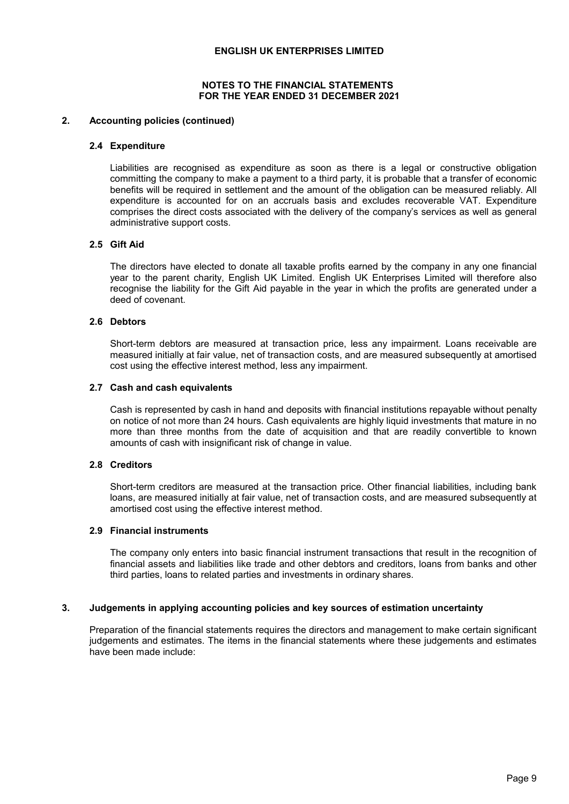#### **NOTES TO THE FINANCIAL STATEMENTS FOR THE YEAR ENDED 31 DECEMBER 2021**

#### **2. Accounting policies (continued)**

#### **2.4 Expenditure**

Liabilities are recognised as expenditure as soon as there is a legal or constructive obligation committing the company to make a payment to a third party, it is probable that a transfer of economic benefits will be required in settlement and the amount of the obligation can be measured reliably. All expenditure is accounted for on an accruals basis and excludes recoverable VAT. Expenditure comprises the direct costs associated with the delivery of the company's services as well as general administrative support costs.

#### **2.5 Gift Aid**

The directors have elected to donate all taxable profits earned by the company in any one financial year to the parent charity, English UK Limited. English UK Enterprises Limited will therefore also recognise the liability for the Gift Aid payable in the year in which the profits are generated under a deed of covenant.

#### **2.6 Debtors**

Short-term debtors are measured at transaction price, less any impairment. Loans receivable are measured initially at fair value, net of transaction costs, and are measured subsequently at amortised cost using the effective interest method, less any impairment.

#### **2.7 Cash and cash equivalents**

Cash is represented by cash in hand and deposits with financial institutions repayable without penalty on notice of not more than 24 hours. Cash equivalents are highly liquid investments that mature in no more than three months from the date of acquisition and that are readily convertible to known amounts of cash with insignificant risk of change in value.

#### **2.8 Creditors**

Short-term creditors are measured at the transaction price. Other financial liabilities, including bank loans, are measured initially at fair value, net of transaction costs, and are measured subsequently at amortised cost using the effective interest method.

#### **2.9 Financial instruments**

The company only enters into basic financial instrument transactions that result in the recognition of financial assets and liabilities like trade and other debtors and creditors, loans from banks and other third parties, loans to related parties and investments in ordinary shares.

#### **3. Judgements in applying accounting policies and key sources of estimation uncertainty**

Preparation of the financial statements requires the directors and management to make certain significant judgements and estimates. The items in the financial statements where these judgements and estimates have been made include: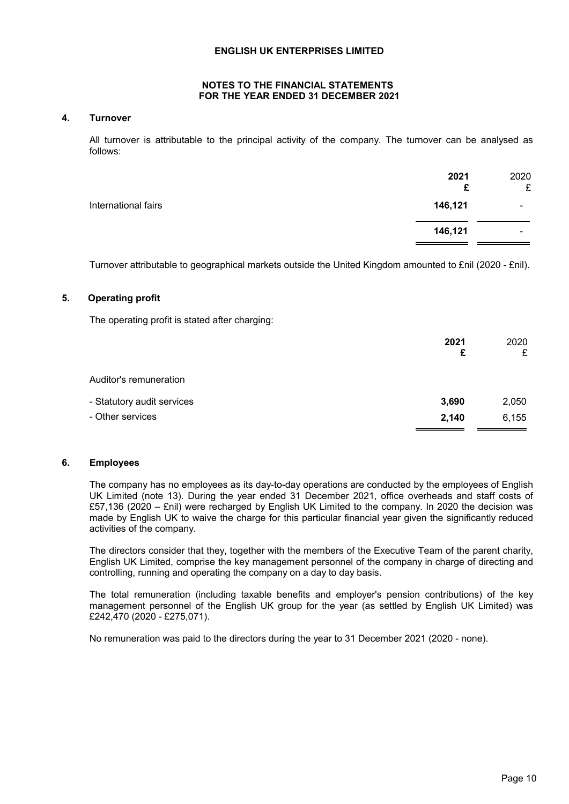#### **NOTES TO THE FINANCIAL STATEMENTS FOR THE YEAR ENDED 31 DECEMBER 2021**

#### **4. Turnover**

All turnover is attributable to the principal activity of the company. The turnover can be analysed as follows:

|                     | 2021<br>£ | 2020<br>£                |
|---------------------|-----------|--------------------------|
| International fairs | 146,121   | $\overline{\phantom{a}}$ |
|                     | 146,121   | $\overline{\phantom{0}}$ |

Turnover attributable to geographical markets outside the United Kingdom amounted to £nil (2020 - £nil).

# **5. Operating profit**

The operating profit is stated after charging:

|                            | 2021<br>£ | 2020<br>£ |
|----------------------------|-----------|-----------|
| Auditor's remuneration     |           |           |
| - Statutory audit services | 3,690     | 2,050     |
| - Other services           | 2,140     | 6,155     |

# **6. Employees**

The company has no employees as its day-to-day operations are conducted by the employees of English UK Limited (note 13). During the year ended 31 December 2021, office overheads and staff costs of £57,136 (2020 – £nil) were recharged by English UK Limited to the company. In 2020 the decision was made by English UK to waive the charge for this particular financial year given the significantly reduced activities of the company.

The directors consider that they, together with the members of the Executive Team of the parent charity, English UK Limited, comprise the key management personnel of the company in charge of directing and controlling, running and operating the company on a day to day basis.

The total remuneration (including taxable benefits and employer's pension contributions) of the key management personnel of the English UK group for the year (as settled by English UK Limited) was £242,470 (2020 - £275,071).

No remuneration was paid to the directors during the year to 31 December 2021 (2020 - none).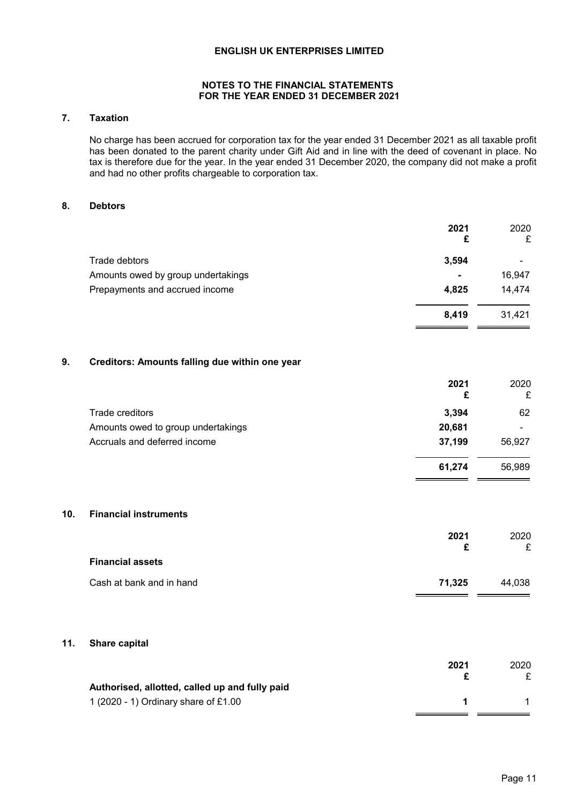#### **NOTES TO THE FINANCIAL STATEMENTS FOR THE YEAR ENDED 31 DECEMBER 2021**

### **7. Taxation**

No charge has been accrued for corporation tax for the year ended 31 December 2021 as all taxable profit has been donated to the parent charity under Gift Aid and in line with the deed of covenant in place. No tax is therefore due for the year. In the year ended 31 December 2020, the company did not make a profit and had no other profits chargeable to corporation tax.

#### **8. Debtors**

|                                    | 2021<br>£      | 2020<br>£ |
|------------------------------------|----------------|-----------|
| Trade debtors                      | 3,594          |           |
| Amounts owed by group undertakings | $\blacksquare$ | 16,947    |
| Prepayments and accrued income     | 4,825          | 14,474    |
|                                    | 8,419          | 31,421    |

# **9. Creditors: Amounts falling due within one year**

|                                    | 2021<br>£ | 2020<br>£ |
|------------------------------------|-----------|-----------|
| Trade creditors                    | 3,394     | 62        |
| Amounts owed to group undertakings | 20,681    |           |
| Accruals and deferred income       | 37,199    | 56,927    |
|                                    | 61.274    | 56,989    |

#### **10. Financial instruments**

|                          | 2021   | 2020<br>£ |
|--------------------------|--------|-----------|
| <b>Financial assets</b>  |        |           |
| Cash at bank and in hand | 71.325 | 44,038    |

#### **11. Share capital**

|                                                | 2021 | 2020 |
|------------------------------------------------|------|------|
|                                                |      |      |
| Authorised, allotted, called up and fully paid |      |      |
| 1 (2020 - 1) Ordinary share of £1.00           |      |      |